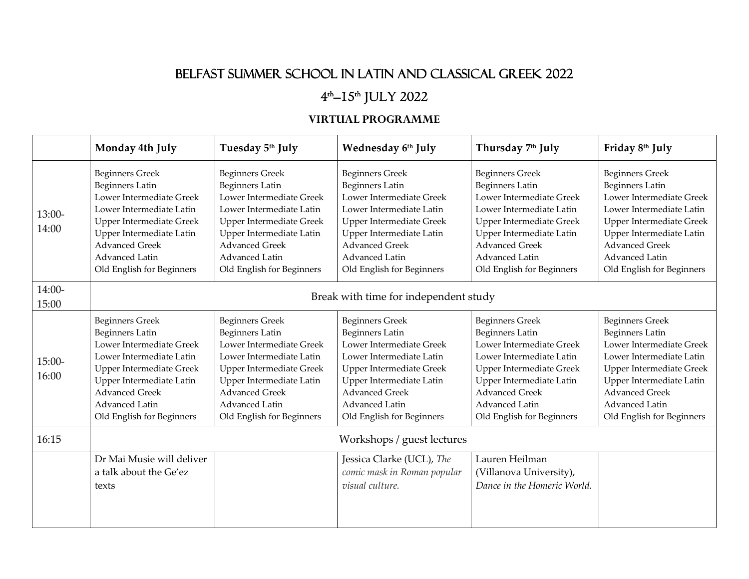## BELFAST SUMMER SCHOOL IN LATIN AND CLASSICAL GREEK 2022

## 4<sup>th</sup>–15<sup>th</sup> JULY 2022

## **VIRTUAL PROGRAMME**

|                   | Monday 4th July                                                                                                                                                                                                                                 | Tuesday 5th July                                                                                                                                                                                                                                | Wednesday 6th July                                                                                                                                                                                                                              | Thursday 7th July                                                                                                                                                                                                                        | Friday 8th July                                                                                                                                                                                                                          |  |  |
|-------------------|-------------------------------------------------------------------------------------------------------------------------------------------------------------------------------------------------------------------------------------------------|-------------------------------------------------------------------------------------------------------------------------------------------------------------------------------------------------------------------------------------------------|-------------------------------------------------------------------------------------------------------------------------------------------------------------------------------------------------------------------------------------------------|------------------------------------------------------------------------------------------------------------------------------------------------------------------------------------------------------------------------------------------|------------------------------------------------------------------------------------------------------------------------------------------------------------------------------------------------------------------------------------------|--|--|
| $13:00-$<br>14:00 | <b>Beginners Greek</b><br><b>Beginners Latin</b><br>Lower Intermediate Greek<br>Lower Intermediate Latin<br><b>Upper Intermediate Greek</b><br>Upper Intermediate Latin<br><b>Advanced Greek</b><br>Advanced Latin<br>Old English for Beginners | <b>Beginners Greek</b><br><b>Beginners Latin</b><br>Lower Intermediate Greek<br>Lower Intermediate Latin<br><b>Upper Intermediate Greek</b><br>Upper Intermediate Latin<br><b>Advanced Greek</b><br>Advanced Latin<br>Old English for Beginners | <b>Beginners Greek</b><br><b>Beginners Latin</b><br>Lower Intermediate Greek<br>Lower Intermediate Latin<br><b>Upper Intermediate Greek</b><br>Upper Intermediate Latin<br><b>Advanced Greek</b><br>Advanced Latin<br>Old English for Beginners | <b>Beginners Greek</b><br><b>Beginners Latin</b><br>Lower Intermediate Greek<br>Lower Intermediate Latin<br>Upper Intermediate Greek<br>Upper Intermediate Latin<br><b>Advanced Greek</b><br>Advanced Latin<br>Old English for Beginners | <b>Beginners Greek</b><br><b>Beginners Latin</b><br>Lower Intermediate Greek<br>Lower Intermediate Latin<br>Upper Intermediate Greek<br>Upper Intermediate Latin<br><b>Advanced Greek</b><br>Advanced Latin<br>Old English for Beginners |  |  |
| 14:00-<br>15:00   | Break with time for independent study                                                                                                                                                                                                           |                                                                                                                                                                                                                                                 |                                                                                                                                                                                                                                                 |                                                                                                                                                                                                                                          |                                                                                                                                                                                                                                          |  |  |
| $15:00-$<br>16:00 | <b>Beginners Greek</b><br><b>Beginners Latin</b><br>Lower Intermediate Greek<br>Lower Intermediate Latin<br><b>Upper Intermediate Greek</b><br>Upper Intermediate Latin<br><b>Advanced Greek</b><br>Advanced Latin<br>Old English for Beginners | <b>Beginners Greek</b><br><b>Beginners Latin</b><br>Lower Intermediate Greek<br>Lower Intermediate Latin<br><b>Upper Intermediate Greek</b><br>Upper Intermediate Latin<br><b>Advanced Greek</b><br>Advanced Latin<br>Old English for Beginners | <b>Beginners Greek</b><br><b>Beginners Latin</b><br>Lower Intermediate Greek<br>Lower Intermediate Latin<br><b>Upper Intermediate Greek</b><br>Upper Intermediate Latin<br><b>Advanced Greek</b><br>Advanced Latin<br>Old English for Beginners | <b>Beginners Greek</b><br><b>Beginners Latin</b><br>Lower Intermediate Greek<br>Lower Intermediate Latin<br>Upper Intermediate Greek<br>Upper Intermediate Latin<br><b>Advanced Greek</b><br>Advanced Latin<br>Old English for Beginners | <b>Beginners Greek</b><br><b>Beginners Latin</b><br>Lower Intermediate Greek<br>Lower Intermediate Latin<br>Upper Intermediate Greek<br>Upper Intermediate Latin<br><b>Advanced Greek</b><br>Advanced Latin<br>Old English for Beginners |  |  |
| 16:15             | Workshops / guest lectures                                                                                                                                                                                                                      |                                                                                                                                                                                                                                                 |                                                                                                                                                                                                                                                 |                                                                                                                                                                                                                                          |                                                                                                                                                                                                                                          |  |  |
|                   | Dr Mai Musie will deliver<br>a talk about the Ge'ez<br>texts                                                                                                                                                                                    |                                                                                                                                                                                                                                                 | Jessica Clarke (UCL), The<br>comic mask in Roman popular<br>visual culture.                                                                                                                                                                     | Lauren Heilman<br>(Villanova University),<br>Dance in the Homeric World.                                                                                                                                                                 |                                                                                                                                                                                                                                          |  |  |